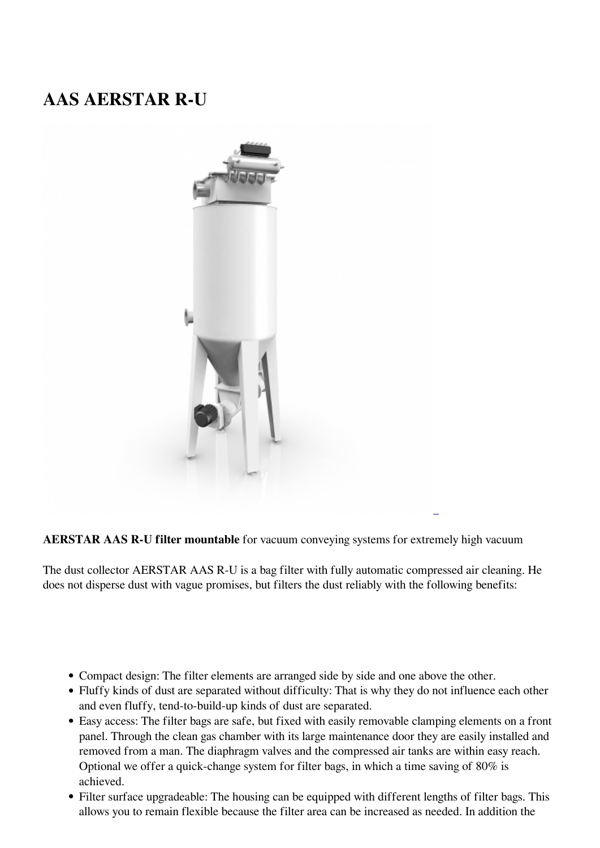## **AAS AERSTAR R-U**



**AERSTAR AAS R-U filter mountable** for vacuum conveying systems for extremely high vacuum

The dust collector AERSTAR AAS R-U is a bag filter with fully automatic compressed air cleaning. He does not disperse dust with vague promises, but filters the dust reliably with the following benefits:

- Compact design: The filter elements are arranged side by side and one above the other.
- Fluffy kinds of dust are separated without difficulty: That is why they do not influence each other and even fluffy, tend-to-build-up kinds of dust are separated.
- Easy access: The filter bags are safe, but fixed with easily removable clamping elements on a front panel. Through the clean gas chamber with its large maintenance door they are easily installed and removed from a man. The diaphragm valves and the compressed air tanks are within easy reach. Optional we offer a quick-change system for filter bags, in which a time saving of 80% is achieved.
- Filter surface upgradeable: The housing can be equipped with different lengths of filter bags. This allows you to remain flexible because the filter area can be increased as needed. In addition the